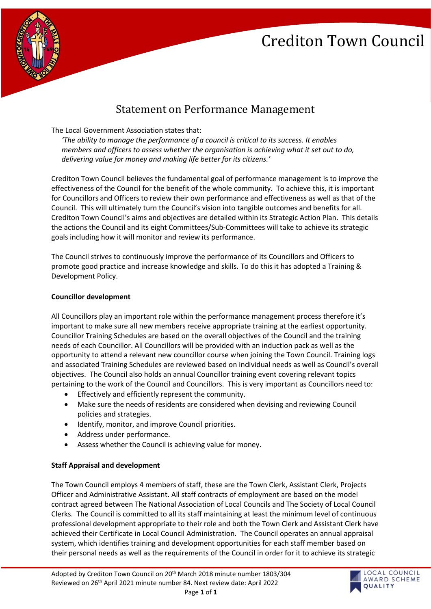# Crediton Town Council



### Statement on Performance Management

The Local Government Association states that:

*'The ability to manage the performance of a council is critical to its success. It enables members and officers to assess whether the organisation is achieving what it set out to do, delivering value for money and making life better for its citizens.'*

Crediton Town Council believes the fundamental goal of performance management is to improve the effectiveness of the Council for the benefit of the whole community. To achieve this, it is important for Councillors and Officers to review their own performance and effectiveness as well as that of the Council. This will ultimately turn the Council's vision into tangible outcomes and benefits for all. Crediton Town Council's aims and objectives are detailed within its Strategic Action Plan. This details the actions the Council and its eight Committees/Sub-Committees will take to achieve its strategic goals including how it will monitor and review its performance.

The Council strives to continuously improve the performance of its Councillors and Officers to promote good practice and increase knowledge and skills. To do this it has adopted a Training & Development Policy.

#### **Councillor development**

All Councillors play an important role within the performance management process therefore it's important to make sure all new members receive appropriate training at the earliest opportunity. Councillor Training Schedules are based on the overall objectives of the Council and the training needs of each Councillor. All Councillors will be provided with an induction pack as well as the opportunity to attend a relevant new councillor course when joining the Town Council. Training logs and associated Training Schedules are reviewed based on individual needs as well as Council's overall objectives. The Council also holds an annual Councillor training event covering relevant topics pertaining to the work of the Council and Councillors. This is very important as Councillors need to:

- Effectively and efficiently represent the community.
- Make sure the needs of residents are considered when devising and reviewing Council policies and strategies.
- Identify, monitor, and improve Council priorities.
- Address under performance.
- Assess whether the Council is achieving value for money.

#### **Staff Appraisal and development**

The Town Council employs 4 members of staff, these are the Town Clerk, Assistant Clerk, Projects Officer and Administrative Assistant. All staff contracts of employment are based on the model contract agreed between The National Association of Local Councils and The Society of Local Council Clerks. The Council is committed to all its staff maintaining at least the minimum level of continuous professional development appropriate to their role and both the Town Clerk and Assistant Clerk have achieved their Certificate in Local Council Administration. The Council operates an annual appraisal system, which identifies training and development opportunities for each staff member based on their personal needs as well as the requirements of the Council in order for it to achieve its strategic